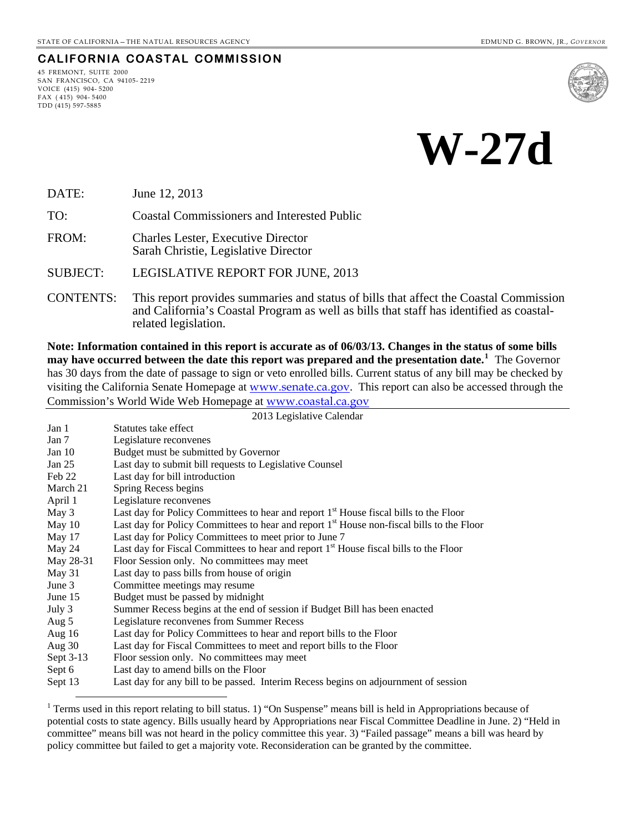#### **CALIFORNIA COASTAL COMMISSION**

45 FREMONT, SUITE 2000 SAN FRANCISCO, CA 94105- 2219 VOICE (415) 904- 5200 FAX ( 415) 904- 5400 TDD (415) 597-5885

 $\overline{a}$ 



**W-27d** 

DATE: June 12, 2013

TO: Coastal Commissioners and Interested Public

FROM: Charles Lester, Executive Director Sarah Christie, Legislative Director

SUBJECT: LEGISLATIVE REPORT FOR JUNE, 2013

CONTENTS: This report provides summaries and status of bills that affect the Coastal Commission and California's Coastal Program as well as bills that staff has identified as coastalrelated legislation.

**Note: Information contained in this report is accurate as of 06/03/13. Changes in the status of some bills may have occurred between the date this report was prepared and the presentation date.[1](#page-0-0)** The Governor has 30 days from the date of passage to sign or veto enrolled bills. Current status of any bill may be checked by visiting the California Senate Homepage at [www.senate.ca.gov](http://www.senate.ca.gov/). This report can also be accessed through the Commission's World Wide Web Homepage at [www.coastal.ca.gov](http://www.coastal.ca.gov/)

2013 Legislative Calendar

| Jan 1     | Statutes take effect                                                                                  |
|-----------|-------------------------------------------------------------------------------------------------------|
| Jan 7     | Legislature reconvenes                                                                                |
| Jan $10$  | Budget must be submitted by Governor                                                                  |
| Jan $25$  | Last day to submit bill requests to Legislative Counsel                                               |
| Feb 22    | Last day for bill introduction                                                                        |
| March 21  | Spring Recess begins                                                                                  |
| April 1   | Legislature reconvenes                                                                                |
| May 3     | Last day for Policy Committees to hear and report 1 <sup>st</sup> House fiscal bills to the Floor     |
| May $10$  | Last day for Policy Committees to hear and report 1 <sup>st</sup> House non-fiscal bills to the Floor |
| May 17    | Last day for Policy Committees to meet prior to June 7                                                |
| May 24    | Last day for Fiscal Committees to hear and report 1 <sup>st</sup> House fiscal bills to the Floor     |
| May 28-31 | Floor Session only. No committees may meet                                                            |
| May 31    | Last day to pass bills from house of origin                                                           |
| June $3$  | Committee meetings may resume                                                                         |
| June 15   | Budget must be passed by midnight                                                                     |
| July 3    | Summer Recess begins at the end of session if Budget Bill has been enacted                            |
| Aug 5     | Legislature reconvenes from Summer Recess                                                             |
| Aug $16$  | Last day for Policy Committees to hear and report bills to the Floor                                  |
| Aug $30$  | Last day for Fiscal Committees to meet and report bills to the Floor                                  |
| Sept 3-13 | Floor session only. No committees may meet                                                            |
| Sept 6    | Last day to amend bills on the Floor                                                                  |
| Sept 13   | Last day for any bill to be passed. Interim Recess begins on adjournment of session                   |

<span id="page-0-0"></span><sup>&</sup>lt;sup>1</sup> Terms used in this report relating to bill status. 1) "On Suspense" means bill is held in Appropriations because of potential costs to state agency. Bills usually heard by Appropriations near Fiscal Committee Deadline in June. 2) "Held in committee" means bill was not heard in the policy committee this year. 3) "Failed passage" means a bill was heard by policy committee but failed to get a majority vote. Reconsideration can be granted by the committee.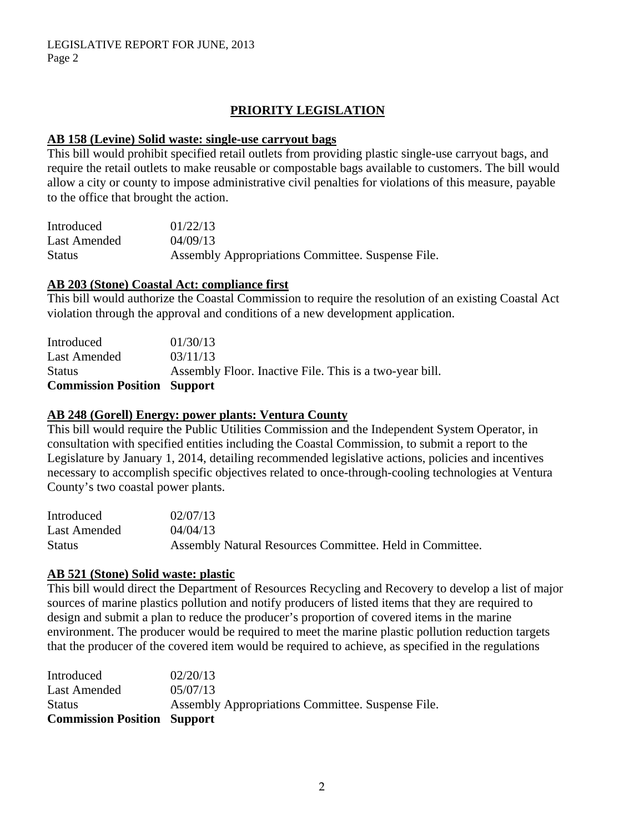# **PRIORITY LEGISLATION**

#### **AB 158 (Levine) Solid waste: single-use carryout bags**

This bill would prohibit specified retail outlets from providing plastic single-use carryout bags, and require the retail outlets to make reusable or compostable bags available to customers. The bill would allow a city or county to impose administrative civil penalties for violations of this measure, payable to the office that brought the action.

| Introduced    | 01/22/13                                          |
|---------------|---------------------------------------------------|
| Last Amended  | 04/09/13                                          |
| <b>Status</b> | Assembly Appropriations Committee. Suspense File. |

#### **AB 203 (Stone) Coastal Act: compliance first**

This bill would authorize the Coastal Commission to require the resolution of an existing Coastal Act violation through the approval and conditions of a new development application.

| <b>Commission Position Support</b> |                                                         |
|------------------------------------|---------------------------------------------------------|
| <b>Status</b>                      | Assembly Floor. Inactive File. This is a two-year bill. |
| Last Amended                       | 03/11/13                                                |
| Introduced                         | 01/30/13                                                |

#### **AB 248 (Gorell) Energy: power plants: Ventura County**

This bill would require the Public Utilities Commission and the Independent System Operator, in consultation with specified entities including the Coastal Commission, to submit a report to the Legislature by January 1, 2014, detailing recommended legislative actions, policies and incentives necessary to accomplish specific objectives related to once-through-cooling technologies at Ventura County's two coastal power plants.

| Introduced   | 02/07/13                                                 |
|--------------|----------------------------------------------------------|
| Last Amended | 04/04/13                                                 |
| Status       | Assembly Natural Resources Committee. Held in Committee. |

#### **AB 521 (Stone) Solid waste: plastic**

This bill would direct the Department of Resources Recycling and Recovery to develop a list of major sources of marine plastics pollution and notify producers of listed items that they are required to design and submit a plan to reduce the producer's proportion of covered items in the marine environment. The producer would be required to meet the marine plastic pollution reduction targets that the producer of the covered item would be required to achieve, as specified in the regulations

| Introduced                         | 02/20/13                                          |
|------------------------------------|---------------------------------------------------|
| Last Amended                       | 05/07/13                                          |
| <b>Status</b>                      | Assembly Appropriations Committee. Suspense File. |
| <b>Commission Position Support</b> |                                                   |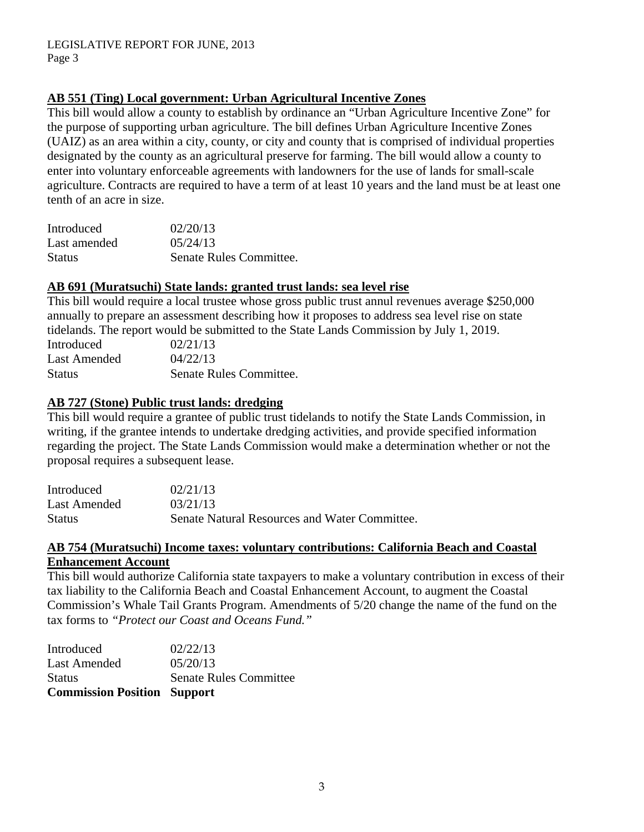# **AB 551 (Ting) Local government: Urban Agricultural Incentive Zones**

This bill would allow a county to establish by ordinance an "Urban Agriculture Incentive Zone" for the purpose of supporting urban agriculture. The bill defines Urban Agriculture Incentive Zones (UAIZ) as an area within a city, county, or city and county that is comprised of individual properties designated by the county as an agricultural preserve for farming. The bill would allow a county to enter into voluntary enforceable agreements with landowners for the use of lands for small-scale agriculture. Contracts are required to have a term of at least 10 years and the land must be at least one tenth of an acre in size.

| Introduced    | 02/20/13                |
|---------------|-------------------------|
| Last amended  | 0.5/24/13               |
| <b>Status</b> | Senate Rules Committee. |

### **AB 691 (Muratsuchi) State lands: granted trust lands: sea level rise**

This bill would require a local trustee whose gross public trust annul revenues average \$250,000 annually to prepare an assessment describing how it proposes to address sea level rise on state tidelands. The report would be submitted to the State Lands Commission by July 1, 2019.

| Introduced    | 02/21/13                |
|---------------|-------------------------|
| Last Amended  | 04/22/13                |
| <b>Status</b> | Senate Rules Committee. |

### **AB 727 (Stone) Public trust lands: dredging**

This bill would require a grantee of public trust tidelands to notify the State Lands Commission, in writing, if the grantee intends to undertake dredging activities, and provide specified information regarding the project. The State Lands Commission would make a determination whether or not the proposal requires a subsequent lease.

| Introduced    | 02/21/13                                      |
|---------------|-----------------------------------------------|
| Last Amended  | 03/21/13                                      |
| <b>Status</b> | Senate Natural Resources and Water Committee. |

### **AB 754 (Muratsuchi) Income taxes: voluntary contributions: California Beach and Coastal Enhancement Account**

This bill would authorize California state taxpayers to make a voluntary contribution in excess of their tax liability to the California Beach and Coastal Enhancement Account, to augment the Coastal Commission's Whale Tail Grants Program. Amendments of 5/20 change the name of the fund on the tax forms to *"Protect our Coast and Oceans Fund."* 

| <b>Commission Position Support</b> |                               |
|------------------------------------|-------------------------------|
| <b>Status</b>                      | <b>Senate Rules Committee</b> |
| Last Amended                       | 05/20/13                      |
| Introduced                         | 02/22/13                      |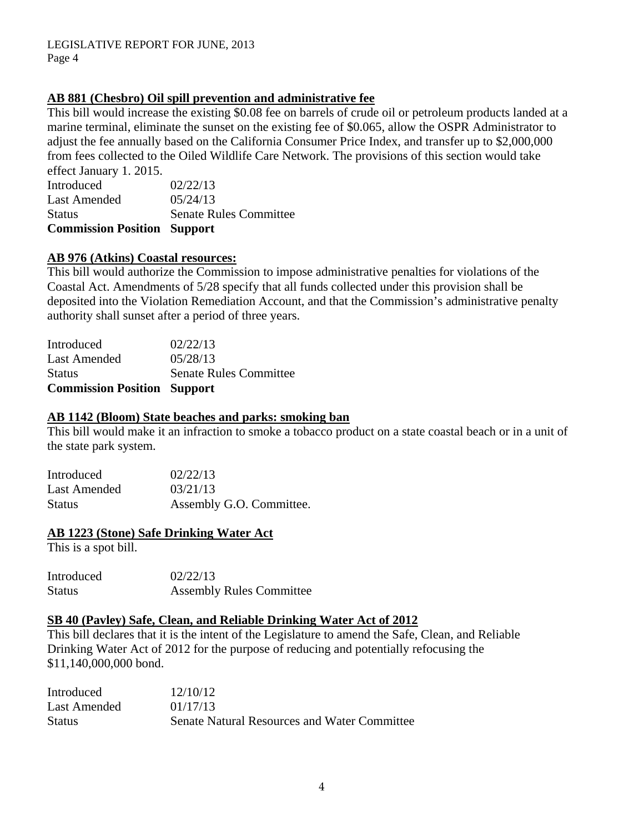## **AB 881 (Chesbro) Oil spill prevention and administrative fee**

This bill would increase the existing \$0.08 fee on barrels of crude oil or petroleum products landed at a marine terminal, eliminate the sunset on the existing fee of \$0.065, allow the OSPR Administrator to adjust the fee annually based on the California Consumer Price Index, and transfer up to \$2,000,000 from fees collected to the Oiled Wildlife Care Network. The provisions of this section would take effect January 1. 2015.

| <b>Commission Position Support</b> |                               |
|------------------------------------|-------------------------------|
| <b>Status</b>                      | <b>Senate Rules Committee</b> |
| <b>Last Amended</b>                | 05/24/13                      |
| Introduced                         | 02/22/13                      |
| CHECT January 1. 2019.             |                               |

#### **AB 976 (Atkins) Coastal resources:**

This bill would authorize the Commission to impose administrative penalties for violations of the Coastal Act. Amendments of 5/28 specify that all funds collected under this provision shall be deposited into the Violation Remediation Account, and that the Commission's administrative penalty authority shall sunset after a period of three years.

| <b>Commission Position Support</b> |
|------------------------------------|
| <b>Senate Rules Committee</b>      |
| 05/28/13                           |
| 02/22/13                           |
|                                    |

#### **AB 1142 (Bloom) State beaches and parks: smoking ban**

This bill would make it an infraction to smoke a tobacco product on a state coastal beach or in a unit of the state park system.

| Introduced   | 02/22/13                 |
|--------------|--------------------------|
| Last Amended | 03/21/13                 |
| Status       | Assembly G.O. Committee. |

#### **AB 1223 (Stone) Safe Drinking Water Act**

This is a spot bill.

| Introduced | 02/22/13                        |
|------------|---------------------------------|
| Status     | <b>Assembly Rules Committee</b> |

#### **SB 40 (Pavley) Safe, Clean, and Reliable Drinking Water Act of 2012**

This bill declares that it is the intent of the Legislature to amend the Safe, Clean, and Reliable Drinking Water Act of 2012 for the purpose of reducing and potentially refocusing the \$11,140,000,000 bond.

| Introduced    | 12/10/12                                            |
|---------------|-----------------------------------------------------|
| Last Amended  | 01/17/13                                            |
| <b>Status</b> | <b>Senate Natural Resources and Water Committee</b> |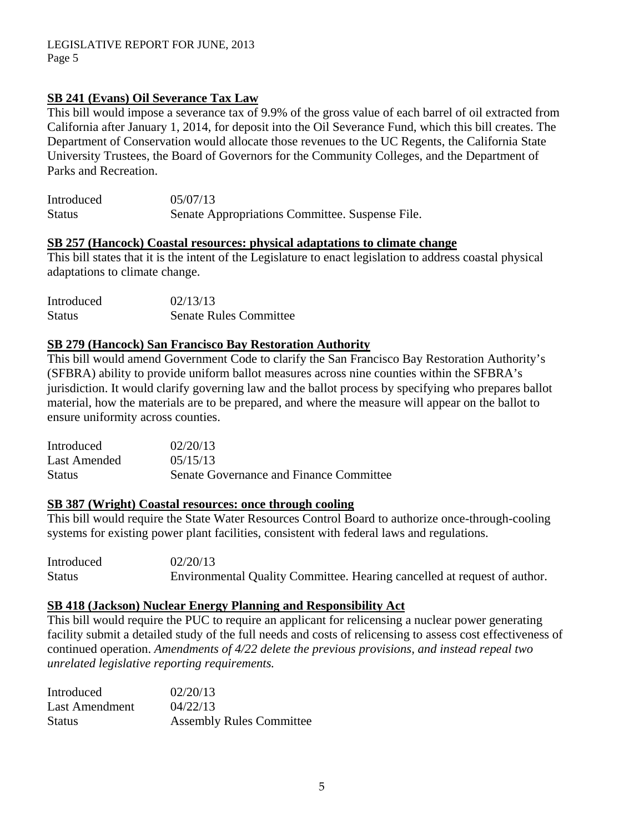# **SB 241 (Evans) Oil Severance Tax Law**

This bill would impose a severance tax of 9.9% of the gross value of each barrel of oil extracted from California after January 1, 2014, for deposit into the Oil Severance Fund, which this bill creates. The Department of Conservation would allocate those revenues to the UC Regents, the California State University Trustees, the Board of Governors for the Community Colleges, and the Department of Parks and Recreation.

| Introduced    | 05/07/13                                        |
|---------------|-------------------------------------------------|
| <b>Status</b> | Senate Appropriations Committee. Suspense File. |

#### **SB 257 (Hancock) Coastal resources: physical adaptations to climate change**

This bill states that it is the intent of the Legislature to enact legislation to address coastal physical adaptations to climate change.

| Introduced    | 02/13/13                      |
|---------------|-------------------------------|
| <b>Status</b> | <b>Senate Rules Committee</b> |

### **SB 279 (Hancock) San Francisco Bay Restoration Authority**

This bill would amend Government Code to clarify the San Francisco Bay Restoration Authority's (SFBRA) ability to provide uniform ballot measures across nine counties within the SFBRA's jurisdiction. It would clarify governing law and the ballot process by specifying who prepares ballot material, how the materials are to be prepared, and where the measure will appear on the ballot to ensure uniformity across counties.

| Introduced   | 02/20/13                                |
|--------------|-----------------------------------------|
| Last Amended | 05/15/13                                |
| Status       | Senate Governance and Finance Committee |

# **SB 387 (Wright) Coastal resources: once through cooling**

This bill would require the State Water Resources Control Board to authorize once-through-cooling systems for existing power plant facilities, consistent with federal laws and regulations.

Introduced 02/20/13 Status Environmental Quality Committee. Hearing cancelled at request of author.

# **SB 418 (Jackson) Nuclear Energy Planning and Responsibility Act**

This bill would require the PUC to require an applicant for relicensing a nuclear power generating facility submit a detailed study of the full needs and costs of relicensing to assess cost effectiveness of continued operation. *Amendments of 4/22 delete the previous provisions, and instead repeal two unrelated legislative reporting requirements.* 

| Introduced            | 02/20/13                        |
|-----------------------|---------------------------------|
| <b>Last Amendment</b> | 04/22/13                        |
| <b>Status</b>         | <b>Assembly Rules Committee</b> |